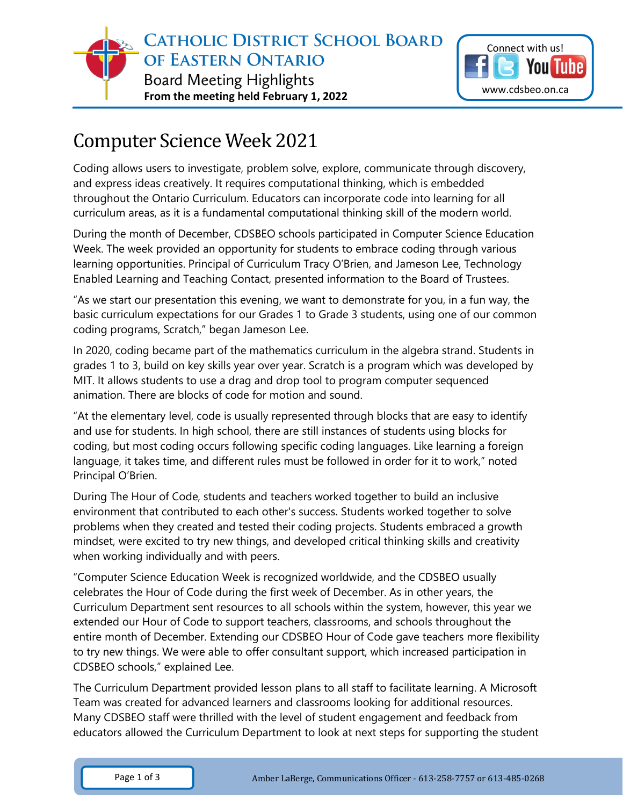



## Computer Science Week 2021

Coding allows users to investigate, problem solve, explore, communicate through discovery, and express ideas creatively. It requires computational thinking, which is embedded throughout the Ontario Curriculum. Educators can incorporate code into learning for all curriculum areas, as it is a fundamental computational thinking skill of the modern world.

During the month of December, CDSBEO schools participated in Computer Science Education Week. The week provided an opportunity for students to embrace coding through various learning opportunities. Principal of Curriculum Tracy O'Brien, and Jameson Lee, Technology Enabled Learning and Teaching Contact, presented information to the Board of Trustees.

"As we start our presentation this evening, we want to demonstrate for you, in a fun way, the basic curriculum expectations for our Grades 1 to Grade 3 students, using one of our common coding programs, Scratch," began Jameson Lee.

In 2020, coding became part of the mathematics curriculum in the algebra strand. Students in grades 1 to 3, build on key skills year over year. Scratch is a program which was developed by MIT. It allows students to use a drag and drop tool to program computer sequenced animation. There are blocks of code for motion and sound.

"At the elementary level, code is usually represented through blocks that are easy to identify and use for students. In high school, there are still instances of students using blocks for coding, but most coding occurs following specific coding languages. Like learning a foreign language, it takes time, and different rules must be followed in order for it to work," noted Principal O'Brien.

During The Hour of Code, students and teachers worked together to build an inclusive environment that contributed to each other's success. Students worked together to solve problems when they created and tested their coding projects. Students embraced a growth mindset, were excited to try new things, and developed critical thinking skills and creativity when working individually and with peers.

"Computer Science Education Week is recognized worldwide, and the CDSBEO usually celebrates the Hour of Code during the first week of December. As in other years, the Curriculum Department sent resources to all schools within the system, however, this year we extended our Hour of Code to support teachers, classrooms, and schools throughout the entire month of December. Extending our CDSBEO Hour of Code gave teachers more flexibility to try new things. We were able to offer consultant support, which increased participation in CDSBEO schools," explained Lee.

The Curriculum Department provided lesson plans to all staff to facilitate learning. A Microsoft Team was created for advanced learners and classrooms looking for additional resources. Many CDSBEO staff were thrilled with the level of student engagement and feedback from educators allowed the Curriculum Department to look at next steps for supporting the student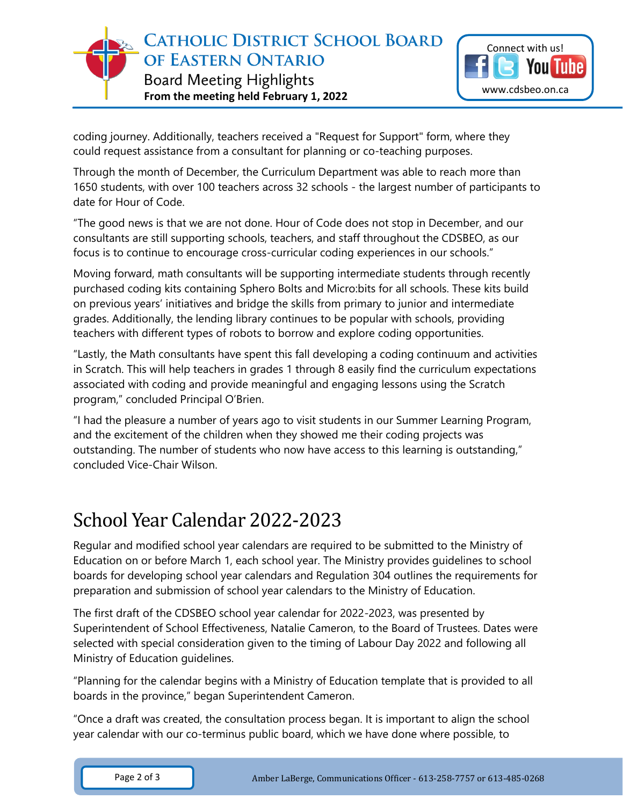

coding journey. Additionally, teachers received a "Request for Support" form, where they could request assistance from a consultant for planning or co-teaching purposes.

Through the month of December, the Curriculum Department was able to reach more than 1650 students, with over 100 teachers across 32 schools - the largest number of participants to date for Hour of Code.

"The good news is that we are not done. Hour of Code does not stop in December, and our consultants are still supporting schools, teachers, and staff throughout the CDSBEO, as our focus is to continue to encourage cross-curricular coding experiences in our schools."

Moving forward, math consultants will be supporting intermediate students through recently purchased coding kits containing Sphero Bolts and Micro:bits for all schools. These kits build on previous years' initiatives and bridge the skills from primary to junior and intermediate grades. Additionally, the lending library continues to be popular with schools, providing teachers with different types of robots to borrow and explore coding opportunities.

"Lastly, the Math consultants have spent this fall developing a coding continuum and activities in Scratch. This will help teachers in grades 1 through 8 easily find the curriculum expectations associated with coding and provide meaningful and engaging lessons using the Scratch program," concluded Principal O'Brien.

"I had the pleasure a number of years ago to visit students in our Summer Learning Program, and the excitement of the children when they showed me their coding projects was outstanding. The number of students who now have access to this learning is outstanding," concluded Vice-Chair Wilson.

## School Year Calendar 2022-2023

Regular and modified school year calendars are required to be submitted to the Ministry of Education on or before March 1, each school year. The Ministry provides guidelines to school boards for developing school year calendars and Regulation 304 outlines the requirements for preparation and submission of school year calendars to the Ministry of Education.

The first draft of the CDSBEO school year calendar for 2022-2023, was presented by Superintendent of School Effectiveness, Natalie Cameron, to the Board of Trustees. Dates were selected with special consideration given to the timing of Labour Day 2022 and following all Ministry of Education guidelines.

"Planning for the calendar begins with a Ministry of Education template that is provided to all boards in the province," began Superintendent Cameron.

"Once a draft was created, the consultation process began. It is important to align the school year calendar with our co-terminus public board, which we have done where possible, to